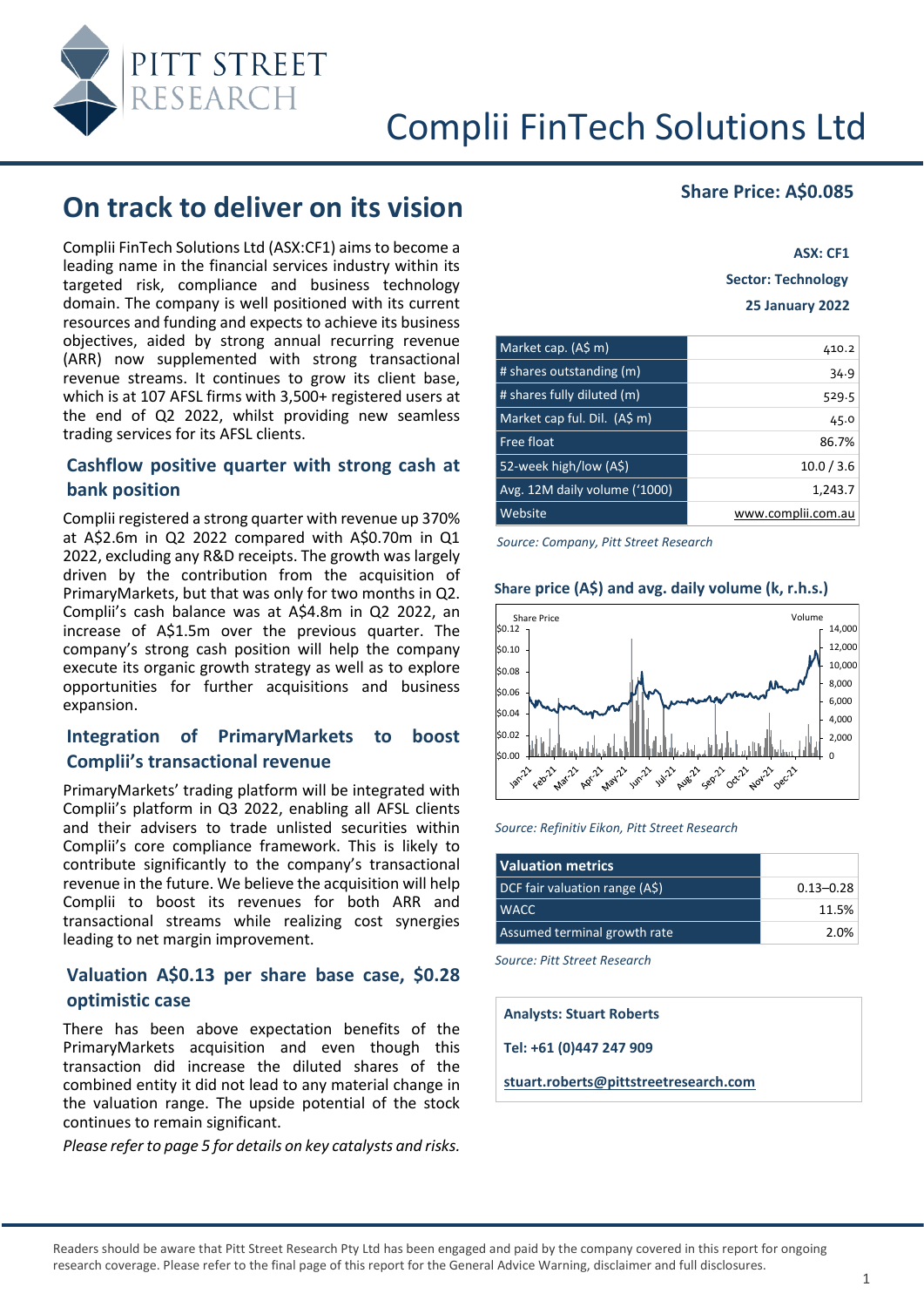

# **On track to deliver on its vision** *Share Price: A\$0.085*

Complii FinTech Solutions Ltd (ASX:CF1) aims to become a leading name in the financial services industry within its targeted risk, compliance and business technology domain. The company is well positioned with its current resources and funding and expects to achieve its business objectives, aided by strong annual recurring revenue (ARR) now supplemented with strong transactional revenue streams. It continues to grow its client base, which is at 107 AFSL firms with 3,500+ registered users at the end of Q2 2022, whilst providing new seamless trading services for its AFSL clients.

#### **Cashflow positive quarter with strong cash at bank position**

Complii registered a strong quarter with revenue up 370% at A\$2.6m in Q2 2022 compared with A\$0.70m in Q1 2022, excluding any R&D receipts. The growth was largely driven by the contribution from the acquisition of PrimaryMarkets, but that was only for two months in Q2. Complii's cash balance was at A\$4.8m in Q2 2022, an increase of A\$1.5m over the previous quarter. The company's strong cash position will help the company execute its organic growth strategy as well as to explore opportunities for further acquisitions and business expansion.

#### **Integration of PrimaryMarkets to boost Complii's transactional revenue**

PrimaryMarkets' trading platform will be integrated with Complii's platform in Q3 2022, enabling all AFSL clients and their advisers to trade unlisted securities within Complii's core compliance framework. This is likely to contribute significantly to the company's transactional revenue in the future. We believe the acquisition will help Complii to boost its revenues for both ARR and transactional streams while realizing cost synergies leading to net margin improvement.

#### **Valuation A\$0.13 per share base case, \$0.28 optimistic case**

There has been above expectation benefits of the PrimaryMarkets acquisition and even though this transaction did increase the diluted shares of the combined entity it did not lead to any material change in the valuation range. The upside potential of the stock continues to remain significant.

*Please refer to page 5 for details on key catalysts and risks.*

**ASX: CF1 Sector: Technology 25 January 2022**

| Market cap. (A\$ m)           | 410.2              |
|-------------------------------|--------------------|
| # shares outstanding (m)      | 34.9               |
| # shares fully diluted (m)    | 529.5              |
| Market cap ful. Dil. (A\$ m)  | 45.0               |
| Free float                    | 86.7%              |
| 52-week high/low (A\$)        | 10.0 / 3.6         |
| Avg. 12M daily volume ('1000) | 1,243.7            |
| Website                       | www.complii.com.au |

*Source: Company, Pitt Street Research*



#### **Share price (A\$) and avg. daily volume (k, r.h.s.)**

*Source: Refinitiv Eikon, Pitt Street Research*

| <b>Valuation metrics</b>       |               |
|--------------------------------|---------------|
| DCF fair valuation range (A\$) | $0.13 - 0.28$ |
| <b>I WACC</b>                  | 11.5%         |
| Assumed terminal growth rate   | 2.0%          |

*Source: Pitt Street Research*

**Analysts: Stuart Roberts**

**Tel: +61 (0)447 247 909**

**[stuart.roberts@pittstreetresearch.com](mailto:stuart.roberts@pittstreetresearch.com)**

Readers should be aware that Pitt Street Research Pty Ltd has been engaged and paid by the company covered in this report for ongoing research coverage. Please refer to the final page of this report for the General Advice Warning, disclaimer and full disclosures.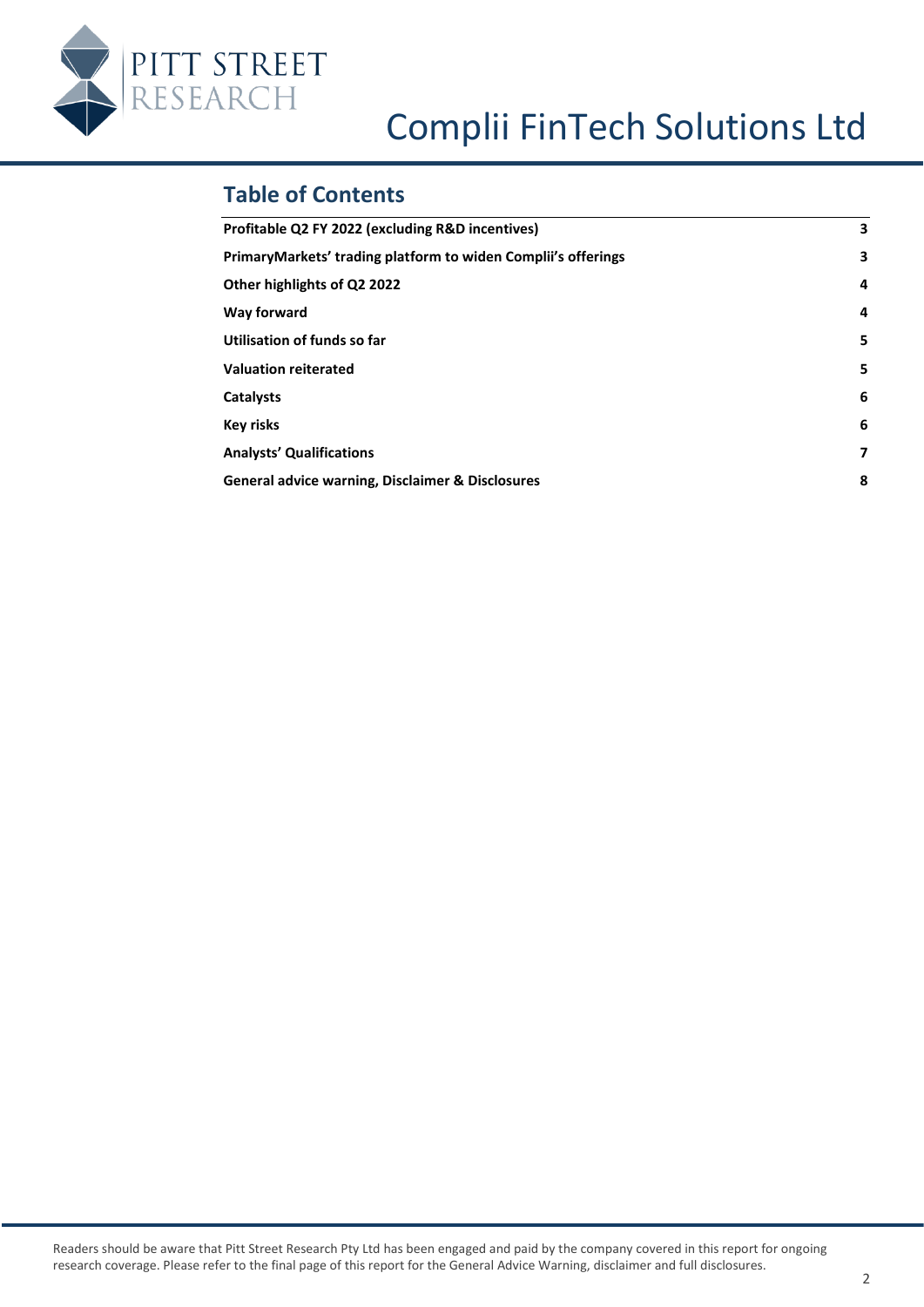

# **Table of Contents**

| Profitable Q2 FY 2022 (excluding R&D incentives)              | 3 |
|---------------------------------------------------------------|---|
| PrimaryMarkets' trading platform to widen Complii's offerings | з |
| Other highlights of Q2 2022                                   | 4 |
| Way forward                                                   | 4 |
| Utilisation of funds so far                                   | 5 |
| <b>Valuation reiterated</b>                                   | 5 |
| <b>Catalysts</b>                                              | 6 |
| <b>Key risks</b>                                              | 6 |
| <b>Analysts' Qualifications</b>                               | 7 |
| General advice warning, Disclaimer & Disclosures              | 8 |
|                                                               |   |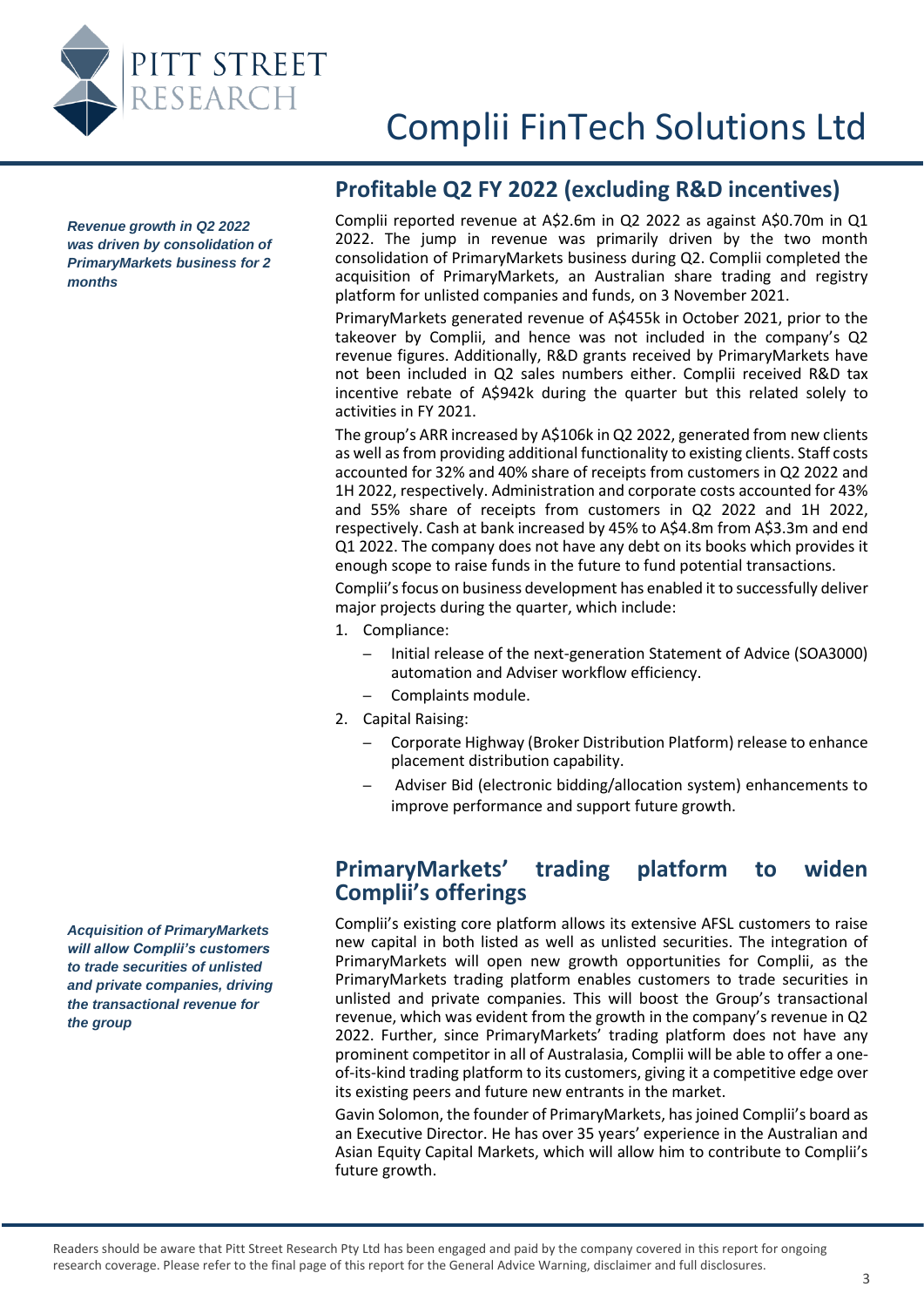

<span id="page-2-0"></span>*Revenue growth in Q2 2022 was driven by consolidation of PrimaryMarkets business for 2 months*

### **Profitable Q2 FY 2022 (excluding R&D incentives)**

Complii reported revenue at A\$2.6m in Q2 2022 as against A\$0.70m in Q1 2022. The jump in revenue was primarily driven by the two month consolidation of PrimaryMarkets business during Q2. Complii completed the acquisition of PrimaryMarkets, an Australian share trading and registry platform for unlisted companies and funds, on 3 November 2021.

PrimaryMarkets generated revenue of A\$455k in October 2021, prior to the takeover by Complii, and hence was not included in the company's Q2 revenue figures. Additionally, R&D grants received by PrimaryMarkets have not been included in Q2 sales numbers either. Complii received R&D tax incentive rebate of A\$942k during the quarter but this related solely to activities in FY 2021.

The group's ARR increased by A\$106k in Q2 2022, generated from new clients as well as from providing additional functionality to existing clients. Staff costs accounted for 32% and 40% share of receipts from customers in Q2 2022 and 1H 2022, respectively. Administration and corporate costs accounted for 43% and 55% share of receipts from customers in Q2 2022 and 1H 2022, respectively. Cash at bank increased by 45% to A\$4.8m from A\$3.3m and end Q1 2022. The company does not have any debt on its books which provides it enough scope to raise funds in the future to fund potential transactions.

Complii's focus on business development has enabled it to successfully deliver major projects during the quarter, which include:

- 1. Compliance:
	- Initial release of the next-generation Statement of Advice (SOA3000) automation and Adviser workflow efficiency.
	- Complaints module.
- 2. Capital Raising:
	- Corporate Highway (Broker Distribution Platform) release to enhance placement distribution capability.
	- Adviser Bid (electronic bidding/allocation system) enhancements to improve performance and support future growth.

### **PrimaryMarkets' trading platform to widen Complii's offerings**

Complii's existing core platform allows its extensive AFSL customers to raise new capital in both listed as well as unlisted securities. The integration of PrimaryMarkets will open new growth opportunities for Complii, as the PrimaryMarkets trading platform enables customers to trade securities in unlisted and private companies. This will boost the Group's transactional revenue, which was evident from the growth in the company's revenue in Q2 2022. Further, since PrimaryMarkets' trading platform does not have any prominent competitor in all of Australasia, Complii will be able to offer a oneof-its-kind trading platform to its customers, giving it a competitive edge over its existing peers and future new entrants in the market.

Gavin Solomon, the founder of PrimaryMarkets, has joined Complii's board as an Executive Director. He has over 35 years' experience in the Australian and Asian Equity Capital Markets, which will allow him to contribute to Complii's future growth.

<span id="page-2-1"></span>*Acquisition of PrimaryMarkets will allow Complii's customers to trade securities of unlisted and private companies, driving the transactional revenue for the group*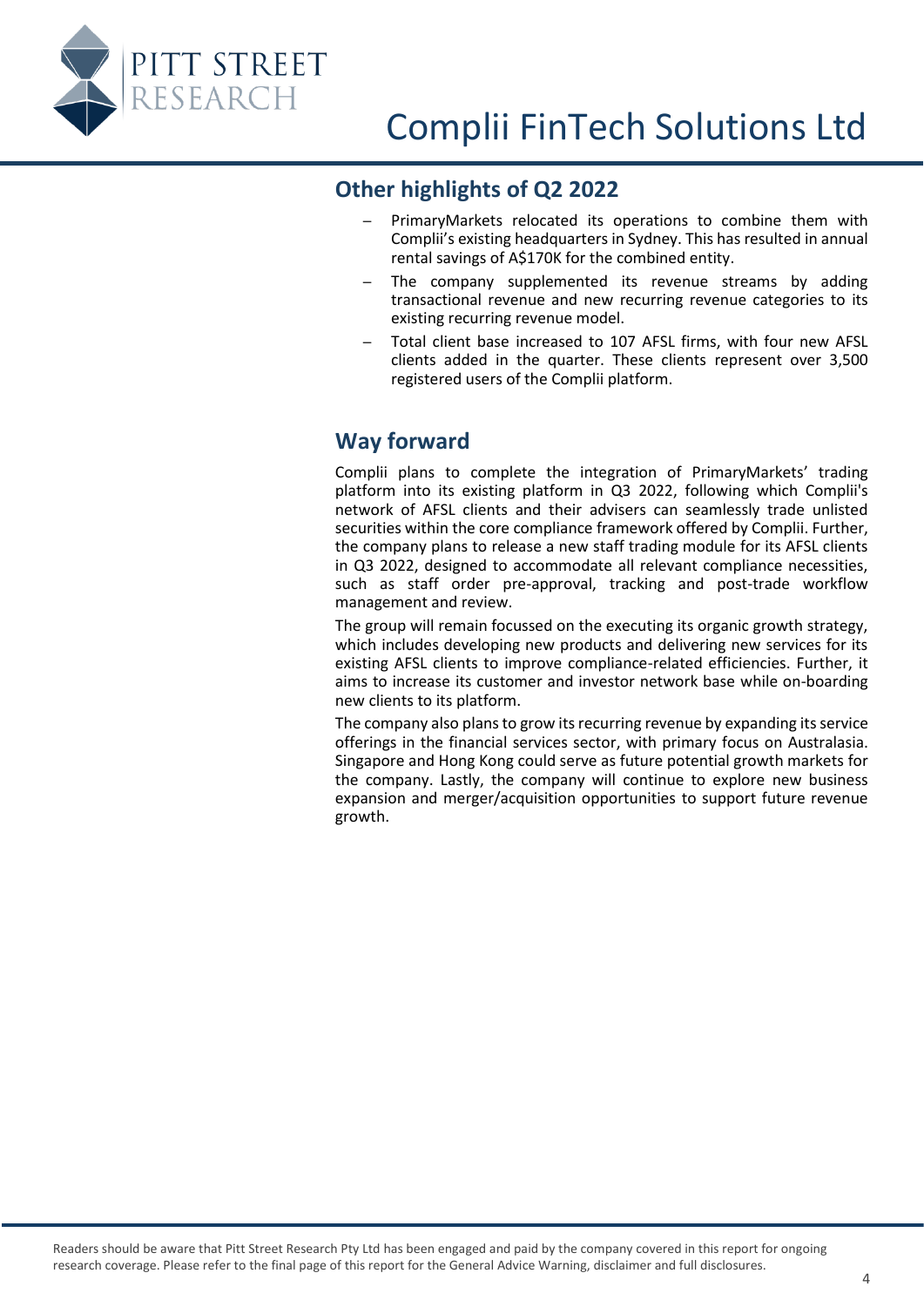<span id="page-3-0"></span>

### **Other highlights of Q2 2022**

- PrimaryMarkets relocated its operations to combine them with Complii's existing headquarters in Sydney. This has resulted in annual rental savings of A\$170K for the combined entity.
- The company supplemented its revenue streams by adding transactional revenue and new recurring revenue categories to its existing recurring revenue model.
- Total client base increased to 107 AFSL firms, with four new AFSL clients added in the quarter. These clients represent over 3,500 registered users of the Complii platform.

# <span id="page-3-1"></span>**Way forward**

Complii plans to complete the integration of PrimaryMarkets' trading platform into its existing platform in Q3 2022, following which Complii's network of AFSL clients and their advisers can seamlessly trade unlisted securities within the core compliance framework offered by Complii. Further, the company plans to release a new staff trading module for its AFSL clients in Q3 2022, designed to accommodate all relevant compliance necessities, such as staff order pre-approval, tracking and post-trade workflow management and review.

The group will remain focussed on the executing its organic growth strategy, which includes developing new products and delivering new services for its existing AFSL clients to improve compliance-related efficiencies. Further, it aims to increase its customer and investor network base while on-boarding new clients to its platform.

The company also plans to grow its recurring revenue by expanding its service offerings in the financial services sector, with primary focus on Australasia. Singapore and Hong Kong could serve as future potential growth markets for the company. Lastly, the company will continue to explore new business expansion and merger/acquisition opportunities to support future revenue growth.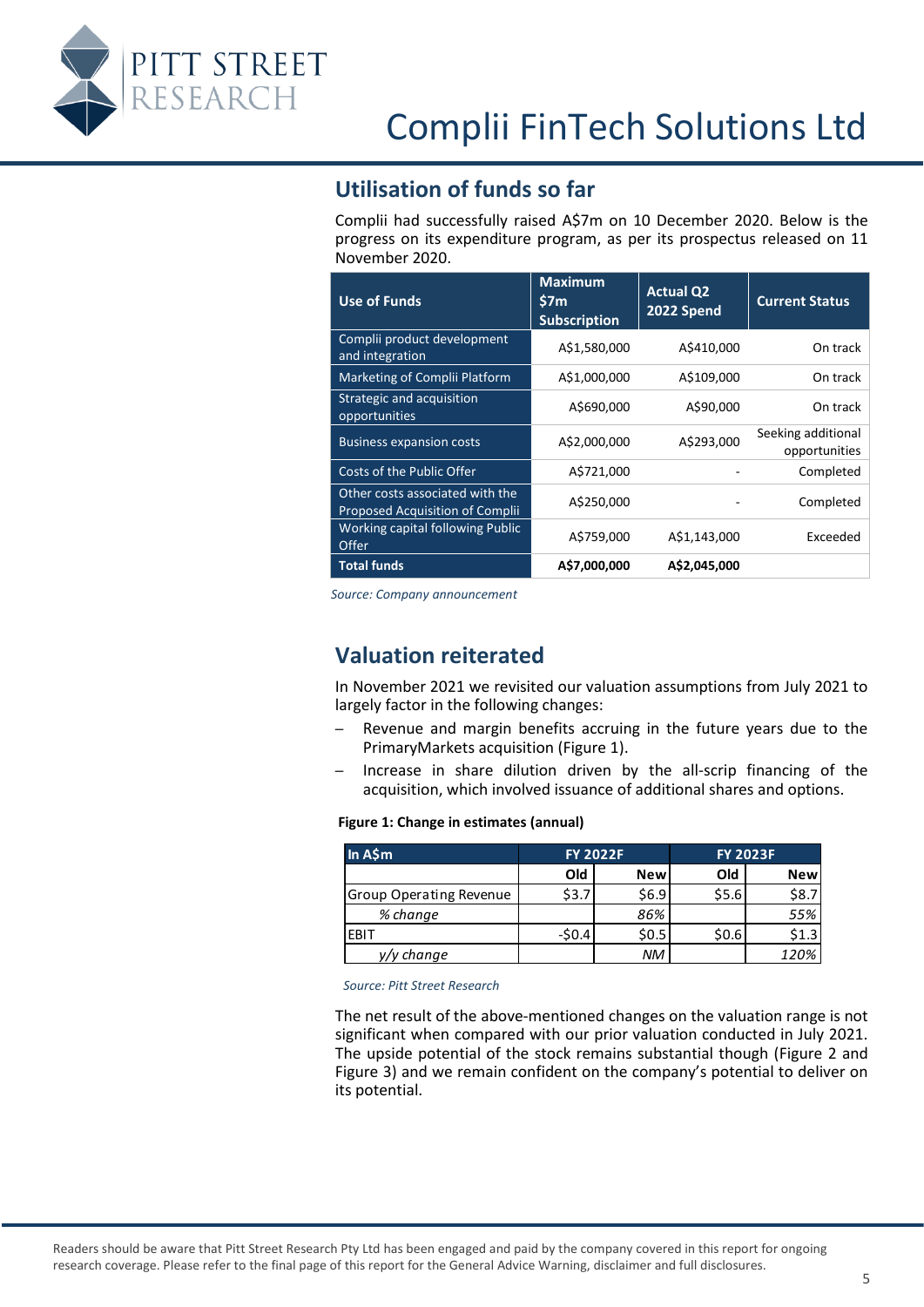<span id="page-4-0"></span>

### **Utilisation of funds so far**

Complii had successfully raised A\$7m on 10 December 2020. Below is the progress on its expenditure program, as per its prospectus released on 11 November 2020.

| <b>Use of Funds</b>                                                | <b>Maximum</b><br>\$7m<br><b>Subscription</b> | <b>Actual Q2</b><br>2022 Spend | <b>Current Status</b>               |
|--------------------------------------------------------------------|-----------------------------------------------|--------------------------------|-------------------------------------|
| Complii product development<br>and integration                     | A\$1,580,000                                  | A\$410,000                     | On track                            |
| Marketing of Complii Platform                                      | A\$1,000,000                                  | A\$109,000                     | On track                            |
| Strategic and acquisition<br>opportunities                         | A\$690,000                                    | A\$90,000                      | On track                            |
| <b>Business expansion costs</b>                                    | A\$2,000,000                                  | A\$293,000                     | Seeking additional<br>opportunities |
| Costs of the Public Offer                                          | A\$721,000                                    |                                | Completed                           |
| Other costs associated with the<br>Proposed Acquisition of Complii | A\$250,000                                    |                                | Completed                           |
| Working capital following Public<br>Offer                          | A\$759,000                                    | A\$1,143,000                   | Exceeded                            |
| <b>Total funds</b>                                                 | A\$7.000.000                                  | A\$2.045.000                   |                                     |

<span id="page-4-1"></span>*Source: Company announcement*

#### **Valuation reiterated**

In November 2021 we revisited our valuation assumptions from July 2021 to largely factor in the following changes:

- Revenue and margin benefits accruing in the future years due to the PrimaryMarkets acquisition [\(Figure 1\)](#page-4-2).
- Increase in share dilution driven by the all-scrip financing of the acquisition, which involved issuance of additional shares and options.

#### <span id="page-4-2"></span>**Figure 1: Change in estimates (annual)**

| In A\$m                        | <b>FY 2022F</b> |            | <b>FY 2023F</b> |            |
|--------------------------------|-----------------|------------|-----------------|------------|
|                                | Old             | <b>New</b> | Old             | <b>New</b> |
| <b>Group Operating Revenue</b> | \$3.7           | \$6.9      | \$5.6           | \$8.7      |
| % change                       |                 | 86%        |                 | 55%        |
| EBIT                           | $-50.4$         | \$0.5      | \$0.6           | \$1.3      |
| change                         |                 | <b>NM</b>  |                 | 120%       |

*Source: Pitt Street Research*

The net result of the above-mentioned changes on the valuation range is not significant when compared with our prior valuation conducted in July 2021. The upside potential of the stock remains substantial though [\(Figure 2](#page-5-3) and [Figure 3](#page-5-4)) and we remain confident on the company's potential to deliver on its potential.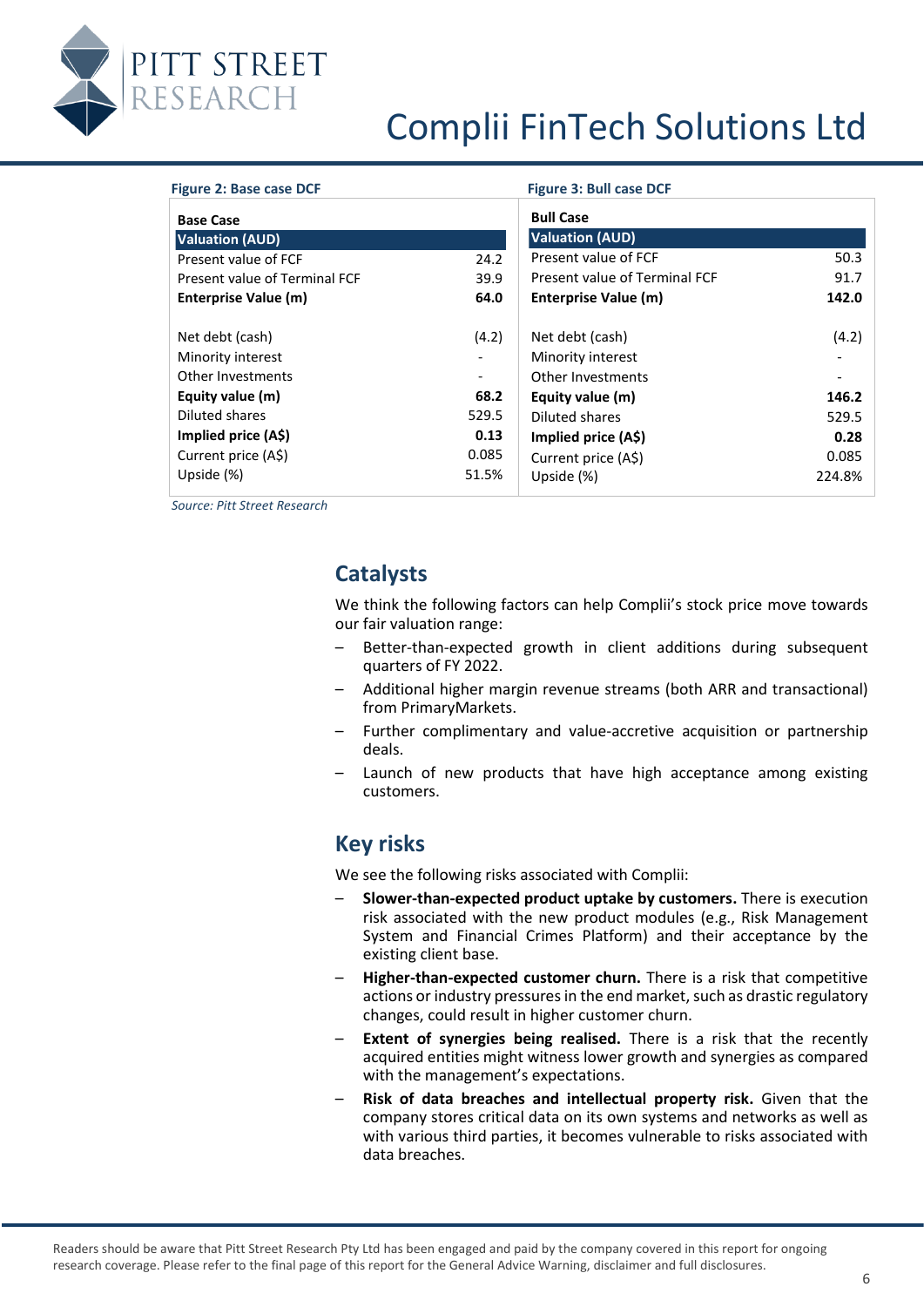

<span id="page-5-4"></span><span id="page-5-3"></span>

| Figure 2: Base case DCF                                   |                                   | <b>Figure 3: Bull case DCF</b>                            |        |
|-----------------------------------------------------------|-----------------------------------|-----------------------------------------------------------|--------|
| <b>Base Case</b>                                          |                                   | <b>Bull Case</b>                                          |        |
| <b>Valuation (AUD)</b>                                    |                                   | <b>Valuation (AUD)</b>                                    |        |
| Present value of FCF                                      | 24.2                              | Present value of FCF                                      | 50.3   |
| Present value of Terminal FCF                             | 39.9                              | Present value of Terminal FCF                             | 91.7   |
| Enterprise Value (m)                                      | 64.0                              | <b>Enterprise Value (m)</b>                               | 142.0  |
| Net debt (cash)<br>Minority interest<br>Other Investments | (4.2)<br>$\overline{\phantom{a}}$ | Net debt (cash)<br>Minority interest<br>Other Investments | (4.2)  |
| Equity value (m)                                          | 68.2                              | Equity value (m)                                          | 146.2  |
| Diluted shares                                            | 529.5                             | Diluted shares                                            | 529.5  |
| Implied price (A\$)                                       | 0.13                              | Implied price (A\$)                                       | 0.28   |
| Current price (A\$)                                       | 0.085                             | Current price (A\$)                                       | 0.085  |
| Upside (%)                                                | 51.5%                             | Upside (%)                                                | 224.8% |

<span id="page-5-0"></span>*Source: Pitt Street Research* 

# **Catalysts**

We think the following factors can help Complii's stock price move towards our fair valuation range:

- Better-than-expected growth in client additions during subsequent quarters of FY 2022.
- Additional higher margin revenue streams (both ARR and transactional) from PrimaryMarkets.
- Further complimentary and value-accretive acquisition or partnership deals.
- Launch of new products that have high acceptance among existing customers.

### **Key risks**

<span id="page-5-1"></span>We see the following risks associated with Complii:

- **Slower-than-expected product uptake by customers.** There is execution risk associated with the new product modules (e.g., Risk Management System and Financial Crimes Platform) and their acceptance by the existing client base.
- **Higher-than-expected customer churn.** There is a risk that competitive actions or industry pressures in the end market, such as drastic regulatory changes, could result in higher customer churn.
- **Extent of synergies being realised.** There is a risk that the recently acquired entities might witness lower growth and synergies as compared with the management's expectations.
- <span id="page-5-2"></span>– **Risk of data breaches and intellectual property risk.** Given that the company stores critical data on its own systems and networks as well as with various third parties, it becomes vulnerable to risks associated with data breaches.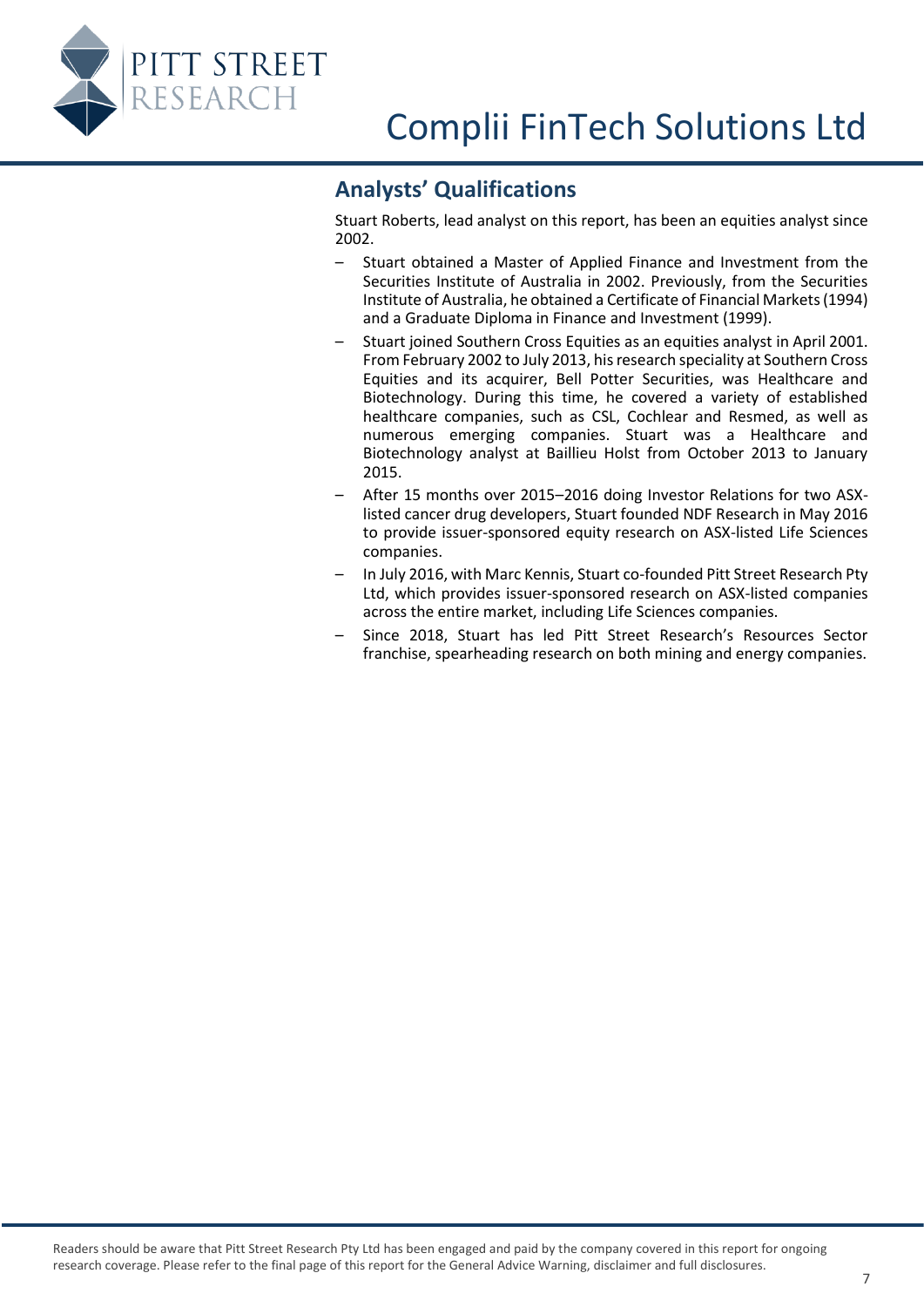

## **Analysts' Qualifications**

Stuart Roberts, lead analyst on this report, has been an equities analyst since 2002.

- Stuart obtained a Master of Applied Finance and Investment from the Securities Institute of Australia in 2002. Previously, from the Securities Institute of Australia, he obtained a Certificate of Financial Markets (1994) and a Graduate Diploma in Finance and Investment (1999).
- Stuart joined Southern Cross Equities as an equities analyst in April 2001. From February 2002 to July 2013, his research speciality at Southern Cross Equities and its acquirer, Bell Potter Securities, was Healthcare and Biotechnology. During this time, he covered a variety of established healthcare companies, such as CSL, Cochlear and Resmed, as well as numerous emerging companies. Stuart was a Healthcare and Biotechnology analyst at Baillieu Holst from October 2013 to January 2015.
- After 15 months over 2015–2016 doing Investor Relations for two ASXlisted cancer drug developers, Stuart founded NDF Research in May 2016 to provide issuer-sponsored equity research on ASX-listed Life Sciences companies.
- In July 2016, with Marc Kennis, Stuart co-founded Pitt Street Research Pty Ltd, which provides issuer-sponsored research on ASX-listed companies across the entire market, including Life Sciences companies.
- Since 2018, Stuart has led Pitt Street Research's Resources Sector franchise, spearheading research on both mining and energy companies.